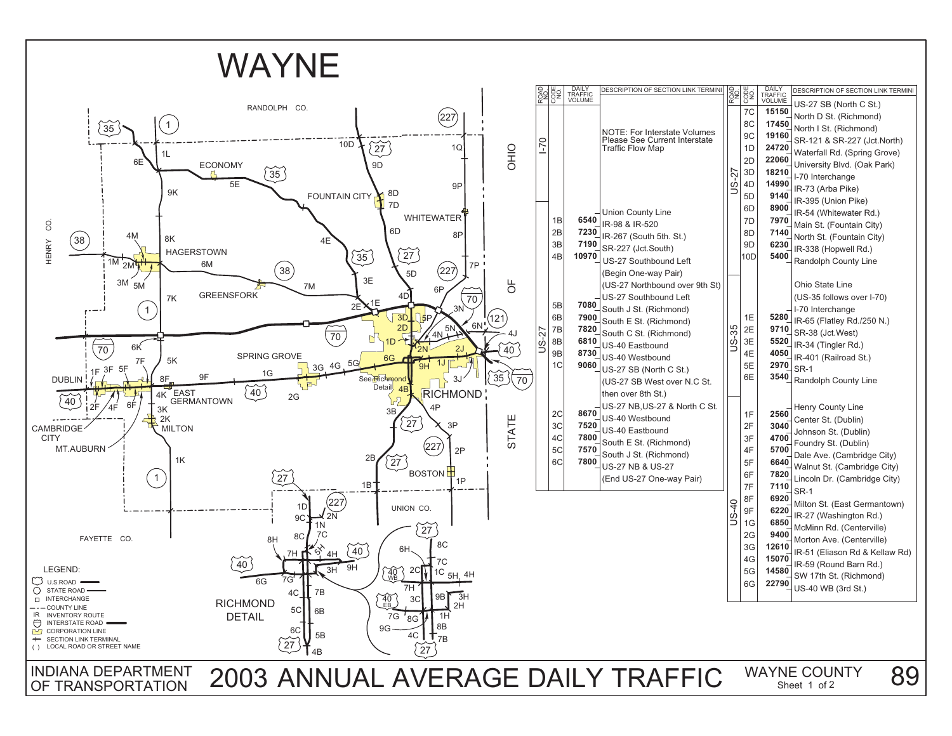